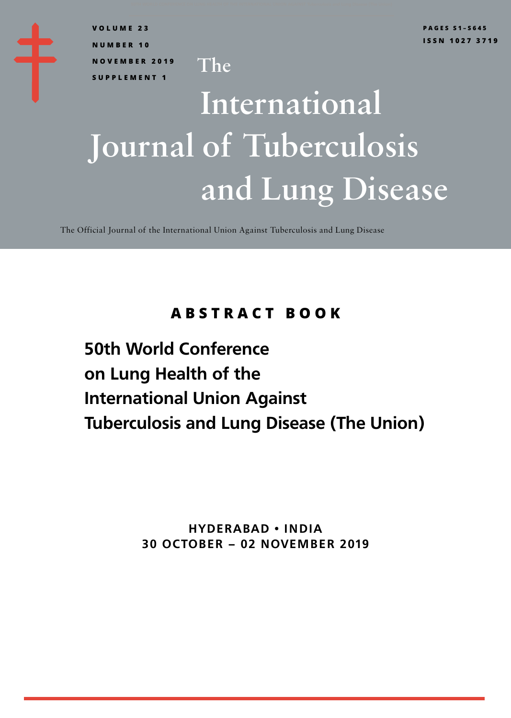**VOLUME 23 NUMBER 10 NOVEMBER 2019 SUPPLEMENT 1**

# International and Lung Disease Journal of Tuberculosis

The Official Journal of the International Union Against Tuberculosis and Lung Disease

The

## **ABSTRACT BOOK**

**50th World Conference on Lung Health of the International Union Against Tuberculosis and Lung Disease (The Union)**

> **HYDERABAD • INDIA 30 OCTOBER – 02 NOVEMBER 2019**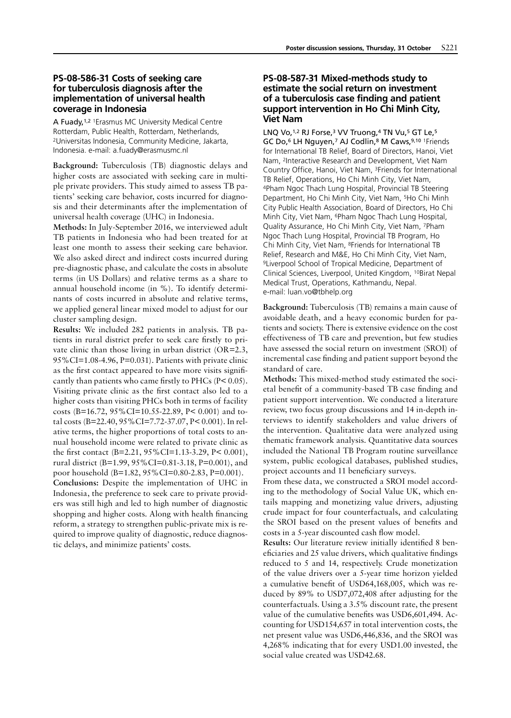#### **PS-08-586-31 Costs of seeking care for tuberculosis diagnosis after the implementation of universal health coverage in Indonesia**

A Fuady,1,2 1Erasmus MC University Medical Centre Rotterdam, Public Health, Rotterdam, Netherlands, 2Universitas Indonesia, Community Medicine, Jakarta, Indonesia. e-mail: a.fuady@erasmusmc.nl

Background: Tuberculosis (TB) diagnostic delays and higher costs are associated with seeking care in multiple private providers. This study aimed to assess TB patients' seeking care behavior, costs incurred for diagnosis and their determinants after the implementation of universal health coverage (UHC) in Indonesia.

Methods: In July-September 2016, we interviewed adult TB patients in Indonesia who had been treated for at least one month to assess their seeking care behavior. We also asked direct and indirect costs incurred during pre-diagnostic phase, and calculate the costs in absolute terms (in US Dollars) and relative terms as a share to annual household income (in %). To identify determinants of costs incurred in absolute and relative terms, we applied general linear mixed model to adjust for our cluster sampling design.

Results: We included 282 patients in analysis. TB patients in rural district prefer to seek care firstly to private clinic than those living in urban district (OR=2.3, 95%CI=1.08-4.96, P=0.031). Patients with private clinic as the first contact appeared to have more visits significantly than patients who came firstly to PHCs (P< 0.05). Visiting private clinic as the first contact also led to a higher costs than visiting PHCs both in terms of facility costs (B=16.72, 95%CI=10.55-22.89, P< 0.001) and total costs (B=22.40, 95%CI=7.72-37.07, P< 0.001). In relative terms, the higher proportions of total costs to annual household income were related to private clinic as the first contact (B=2.21, 95%CI=1.13-3.29, P< 0.001), rural district (B=1.99, 95%CI=0.81-3.18, P=0.001), and poor household (B=1.82, 95%CI=0.80-2.83, P=0.001).

Conclusions: Despite the implementation of UHC in Indonesia, the preference to seek care to private providers was still high and led to high number of diagnostic shopping and higher costs. Along with health financing reform, a strategy to strengthen public-private mix is required to improve quality of diagnostic, reduce diagnostic delays, and minimize patients' costs.

#### **PS-08-587-31 Mixed-methods study to estimate the social return on investment of a tuberculosis case finding and patient support intervention in Ho Chi Minh City, Viet Nam**

LNQ Vo,<sup>1,2</sup> RJ Forse,<sup>3</sup> VV Truong,<sup>4</sup> TN Vu,<sup>5</sup> GT Le,<sup>5</sup> GC Do,6 LH Nguyen,7 AJ Codlin,8 M Caws,9,10 1Friends for International TB Relief, Board of Directors, Hanoi, Viet Nam, 2Interactive Research and Development, Viet Nam Country Office, Hanoi, Viet Nam, 3Friends for International TB Relief, Operations, Ho Chi Minh City, Viet Nam, 4Pham Ngoc Thach Lung Hospital, Provincial TB Steering Department, Ho Chi Minh City, Viet Nam, 5Ho Chi Minh City Public Health Association, Board of Directors, Ho Chi Minh City, Viet Nam, 6Pham Ngoc Thach Lung Hospital, Quality Assurance, Ho Chi Minh City, Viet Nam, 7Pham Ngoc Thach Lung Hospital, Provincial TB Program, Ho Chi Minh City, Viet Nam, 8Friends for International TB Relief, Research and M&E, Ho Chi Minh City, Viet Nam, 9Liverpool School of Tropical Medicine, Department of Clinical Sciences, Liverpool, United Kingdom, 10Birat Nepal Medical Trust, Operations, Kathmandu, Nepal. e-mail: luan.vo@tbhelp.org

Background: Tuberculosis (TB) remains a main cause of avoidable death, and a heavy economic burden for patients and society. There is extensive evidence on the cost effectiveness of TB care and prevention, but few studies have assessed the social return on investment (SROI) of incremental case finding and patient support beyond the standard of care.

Methods: This mixed-method study estimated the societal benefit of a community-based TB case finding and patient support intervention. We conducted a literature review, two focus group discussions and 14 in-depth interviews to identify stakeholders and value drivers of the intervention. Qualitative data were analyzed using thematic framework analysis. Quantitative data sources included the National TB Program routine surveillance system, public ecological databases, published studies, project accounts and 11 beneficiary surveys.

From these data, we constructed a SROI model according to the methodology of Social Value UK, which entails mapping and monetizing value drivers, adjusting crude impact for four counterfactuals, and calculating the SROI based on the present values of benefits and costs in a 5-year discounted cash flow model.

Results: Our literature review initially identified 8 beneficiaries and 25 value drivers, which qualitative findings reduced to 5 and 14, respectively. Crude monetization of the value drivers over a 5-year time horizon yielded a cumulative benefit of USD64,168,005, which was reduced by 89% to USD7,072,408 after adjusting for the counterfactuals. Using a 3.5% discount rate, the present value of the cumulative benefits was USD6,601,494. Accounting for USD154,657 in total intervention costs, the net present value was USD6,446,836, and the SROI was 4,268% indicating that for every USD1.00 invested, the social value created was USD42.68.